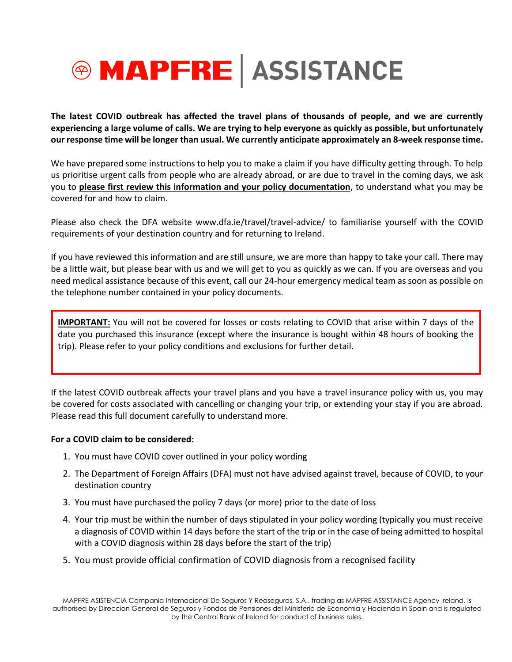

**The latest COVID outbreak has affected the travel plans of thousands of people, and we are currently experiencing a large volume of calls. We are trying to help everyone as quickly as possible, but unfortunately our response time will be longer than usual. We currently anticipate approximately an 8-week response time.**

We have prepared some instructions to help you to make a claim if you have difficulty getting through. To help us prioritise urgent calls from people who are already abroad, or are due to travel in the coming days, we ask you to **please first review this information and your policy documentation**, to understand what you may be covered for and how to claim.

Please also check the DFA website www.dfa.ie/travel/travel-advice/ to familiarise yourself with the COVID requirements of your destination country and for returning to Ireland.

If you have reviewed this information and are still unsure, we are more than happy to take your call. There may be a little wait, but please bear with us and we will get to you as quickly as we can. If you are overseas and you need medical assistance because of this event, call our 24-hour emergency medical team as soon as possible on the telephone number contained in your policy documents.

**IMPORTANT:** You will not be covered for losses or costs relating to COVID that arise within 7 days of the date you purchased this insurance (except where the insurance is bought within 48 hours of booking the trip). Please refer to your policy conditions and exclusions for further detail.

If the latest COVID outbreak affects your travel plans and you have a travel insurance policy with us, you may be covered for costs associated with cancelling or changing your trip, or extending your stay if you are abroad. Please read this full document carefully to understand more.

#### **For a COVID claim to be considered:**

- 1. You must have COVID cover outlined in your policy wording
- 2. The Department of Foreign Affairs (DFA) must not have advised against travel, because of COVID, to your destination country
- 3. You must have purchased the policy 7 days (or more) prior to the date of loss
- 4. Your trip must be within the number of days stipulated in your policy wording (typically you must receive a diagnosis of COVID within 14 days before the start of the trip or in the case of being admitted to hospital with a COVID diagnosis within 28 days before the start of the trip)
- 5. You must provide official confirmation of COVID diagnosis from a recognised facility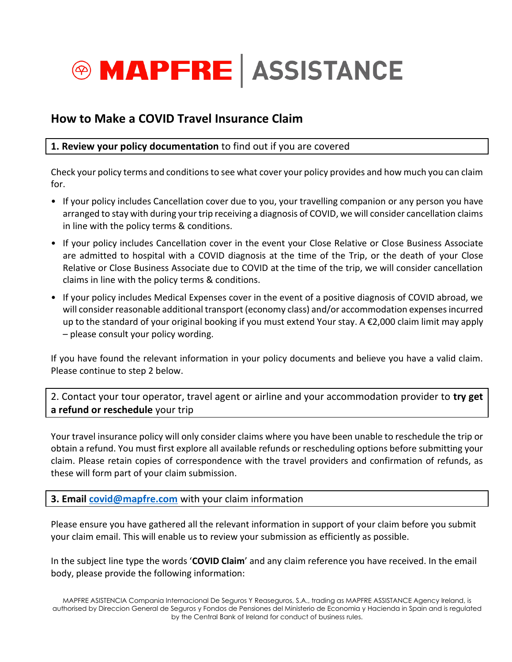

# **How to Make a COVID Travel Insurance Claim**

## **1. Review your policy documentation** to find out if you are covered

Check your policy terms and conditions to see what cover your policy provides and how much you can claim for.

- If your policy includes Cancellation cover due to you, your travelling companion or any person you have arranged to stay with during your trip receiving a diagnosis of COVID, we will consider cancellation claims in line with the policy terms & conditions.
- If your policy includes Cancellation cover in the event your Close Relative or Close Business Associate are admitted to hospital with a COVID diagnosis at the time of the Trip, or the death of your Close Relative or Close Business Associate due to COVID at the time of the trip, we will consider cancellation claims in line with the policy terms & conditions.
- If your policy includes Medical Expenses cover in the event of a positive diagnosis of COVID abroad, we will consider reasonable additional transport (economy class) and/or accommodation expenses incurred up to the standard of your original booking if you must extend Your stay. A €2,000 claim limit may apply – please consult your policy wording.

If you have found the relevant information in your policy documents and believe you have a valid claim. Please continue to step 2 below.

2. Contact your tour operator, travel agent or airline and your accommodation provider to **try get a refund or reschedule** your trip

Your travel insurance policy will only consider claims where you have been unable to reschedule the trip or obtain a refund. You must first explore all available refunds or rescheduling options before submitting your claim. Please retain copies of correspondence with the travel providers and confirmation of refunds, as these will form part of your claim submission.

**3. Email [covid@mapfre.com](mailto:covid@mapfre.com)** with your claim information

Please ensure you have gathered all the relevant information in support of your claim before you submit your claim email. This will enable us to review your submission as efficiently as possible.

In the subject line type the words '**COVID Claim**' and any claim reference you have received. In the email body, please provide the following information: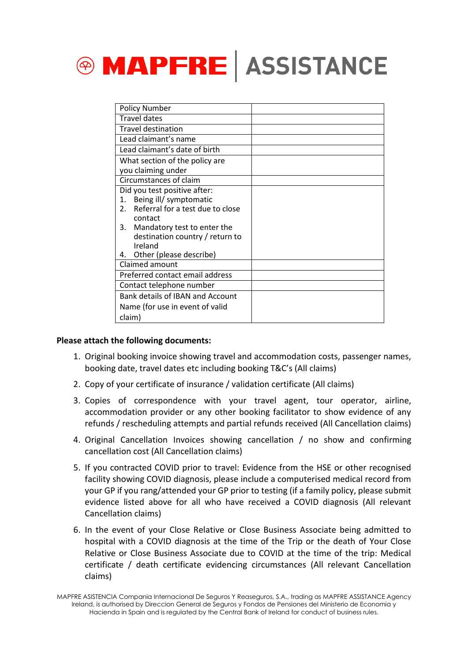

| <b>Policy Number</b>                                                 |  |
|----------------------------------------------------------------------|--|
| <b>Travel dates</b>                                                  |  |
| <b>Travel destination</b>                                            |  |
| Lead claimant's name                                                 |  |
| Lead claimant's date of birth                                        |  |
| What section of the policy are                                       |  |
| you claiming under                                                   |  |
| Circumstances of claim                                               |  |
| Did you test positive after:                                         |  |
| Being ill/ symptomatic<br>1.                                         |  |
| Referral for a test due to close<br>$2^{\circ}$                      |  |
| contact                                                              |  |
| Mandatory test to enter the<br>3.<br>destination country / return to |  |
| Ireland                                                              |  |
| Other (please describe)<br>4.                                        |  |
| Claimed amount                                                       |  |
| Preferred contact email address                                      |  |
| Contact telephone number                                             |  |
| Bank details of IBAN and Account                                     |  |
| Name (for use in event of valid                                      |  |
| claim)                                                               |  |

## **Please attach the following documents:**

- 1. Original booking invoice showing travel and accommodation costs, passenger names, booking date, travel dates etc including booking T&C's (All claims)
- 2. Copy of your certificate of insurance / validation certificate (All claims)
- 3. Copies of correspondence with your travel agent, tour operator, airline, accommodation provider or any other booking facilitator to show evidence of any refunds / rescheduling attempts and partial refunds received (All Cancellation claims)
- 4. Original Cancellation Invoices showing cancellation / no show and confirming cancellation cost (All Cancellation claims)
- 5. If you contracted COVID prior to travel: Evidence from the HSE or other recognised facility showing COVID diagnosis, please include a computerised medical record from your GP if you rang/attended your GP prior to testing (if a family policy, please submit evidence listed above for all who have received a COVID diagnosis (All relevant Cancellation claims)
- 6. In the event of your Close Relative or Close Business Associate being admitted to hospital with a COVID diagnosis at the time of the Trip or the death of Your Close Relative or Close Business Associate due to COVID at the time of the trip: Medical certificate / death certificate evidencing circumstances (All relevant Cancellation claims)

MAPFRE ASISTENCIA Compania Internacional De Seguros Y Reaseguros, S.A., trading as MAPFRE ASSISTANCE Agency Ireland, is authorised by Direccion General de Seguros y Fondos de Pensiones del Ministerio de Economia y Hacienda in Spain and is regulated by the Central Bank of Ireland for conduct of business rules.